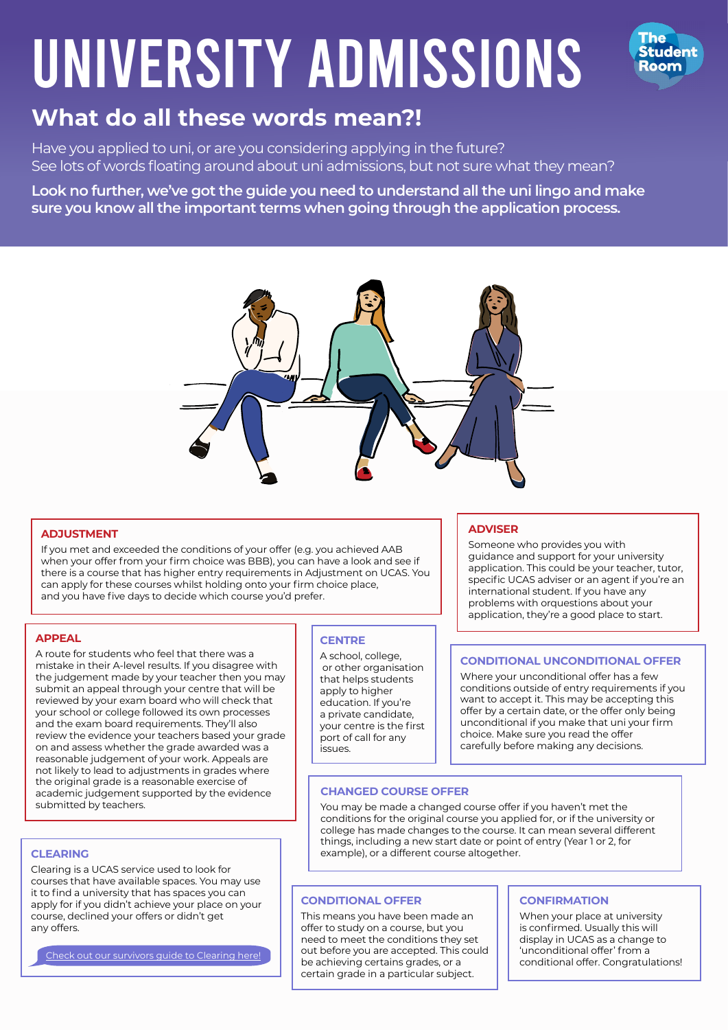# UNIVERSITY ADMISSIONS



# **What do all these words mean?!**

Have you applied to uni, or are you considering applying in the future? See lots of words floating around about uni admissions, but not sure what they mean?

**Look no further, we've got the guide you need to understand all the uni lingo and make sure you know all the important terms when going through the application process.** 



# **ADJUSTMENT**

If you met and exceeded the conditions of your offer (e.g. you achieved AAB when your offer from your firm choice was BBB), you can have a look and see if there is a course that has higher entry requirements in Adjustment on UCAS. You can apply for these courses whilst holding onto your firm choice place, and you have five days to decide which course you'd prefer.

# **APPEAL**

A route for students who feel that there was a mistake in their A-level results. If you disagree with the judgement made by your teacher then you may submit an appeal through your centre that will be reviewed by your exam board who will check that your school or college followed its own processes and the exam board requirements. They'll also review the evidence your teachers based your grade on and assess whether the grade awarded was a reasonable judgement of your work. Appeals are not likely to lead to adjustments in grades where the original grade is a reasonable exercise of academic judgement supported by the evidence submitted by teachers.

# **CLEARING**

Clearing is a UCAS service used to look for courses that have available spaces. You may use it to find a university that has spaces you can apply for if you didn't achieve your place on your course, declined your offers or didn't get any offers.

[Check out our survivors guide to Clearing here!](http://thestudentroom.clickmeter.com/clearingPDF)

# **CENTRE**

A school, college, or other organisation that helps students apply to higher education. If you're a private candidate, your centre is the first port of call for any issues.

# **ADVISER**

Someone who provides you with guidance and support for your university application. This could be your teacher, tutor, specific UCAS adviser or an agent if you're an international student. If you have any problems with orquestions about your application, they're a good place to start.

# **CONDITIONAL UNCONDITIONAL OFFER**

Where your unconditional offer has a few conditions outside of entry requirements if you want to accept it. This may be accepting this offer by a certain date, or the offer only being unconditional if you make that uni your firm choice. Make sure you read the offer carefully before making any decisions.

# **CHANGED COURSE OFFER**

You may be made a changed course offer if you haven't met the conditions for the original course you applied for, or if the university or college has made changes to the course. It can mean several different things, including a new start date or point of entry (Year 1 or 2, for example), or a different course altogether.

# **CONDITIONAL OFFER**

This means you have been made an offer to study on a course, but you need to meet the conditions they set out before you are accepted. This could be achieving certains grades, or a certain grade in a particular subject.

# **CONFIRMATION**

When your place at university is confirmed. Usually this will display in UCAS as a change to 'unconditional offer' from a conditional offer. Congratulations!